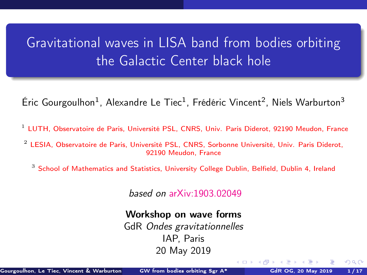# <span id="page-0-0"></span>Gravitational waves in LISA band from bodies orbiting the Galactic Center black hole

Éric Gourgoulhon<sup>1</sup>, Alexandre Le Tiec<sup>1</sup>, Frédéric Vincent<sup>2</sup>, Niels Warburton<sup>3</sup>

- $<sup>1</sup>$  [LUTH, Observatoire de Paris, Université PSL, CNRS, Univ. Paris Diderot, 92190 Meudon, France](https://luth.obspm.fr)</sup>
- <sup>2</sup> [LESIA, Observatoire de Paris, Université PSL, CNRS, Sorbonne Université, Univ. Paris Diderot,](https://lesia.obspm.fr) [92190 Meudon, France](https://lesia.obspm.fr)
	- <sup>3</sup> [School of Mathematics and Statistics, University College Dublin, Belfield, Dublin 4, Ireland](http://www.ucd.ie/)

based on [arXiv:1903.02049](https://arxiv.org/abs/1903.02049)

#### Workshop on wave forms

GdR Ondes gravitationnelles IAP, Paris 20 May 2019

 $\Omega$ 

**← ロ ▶ → イ 同 →**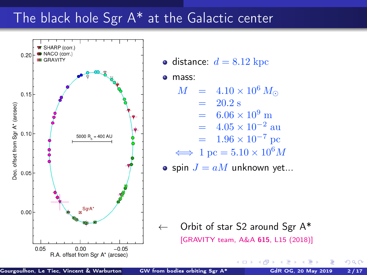# <span id="page-1-0"></span>The black hole Sgr A\* at the Galactic center



• distance:  $d = 8.12$  kpc

 $\bullet$ mass:

 $M = 4.10 \times 10^6 M_{\odot}$ 

$$
= 20.2 \text{ s}
$$

$$
= 6.06 \times 10^9
$$
 m

$$
= 4.05 \times 10^{-2}
$$
 au

$$
= 1.96 \times 10^{-7}
$$
 pc

$$
\iff 1 \text{ pc} = 5.10 \times 10^6 M
$$

• spin 
$$
J = aM
$$
 unknown yet...

 $\leftarrow$  Orbit of star S2 around Sgr A\* [\[GRAVITY team, A&A](https://doi.org/10.1051/0004-6361/201833718) 615, L15 (2018)]

4 0 F

 $\Omega$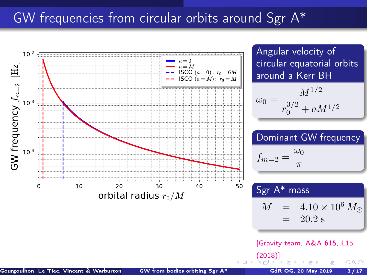# <span id="page-2-0"></span>GW frequencies from circular orbits around Sgr A\*

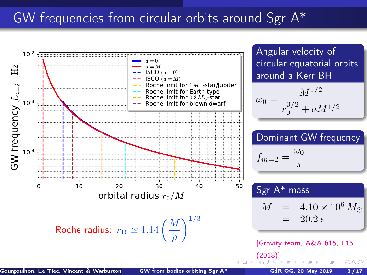# <span id="page-3-0"></span>GW frequencies from circular orbits around Sgr A\*

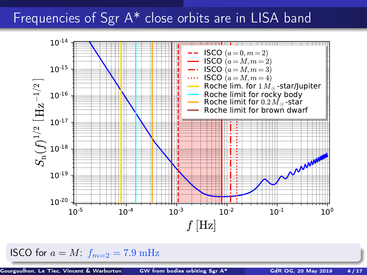## <span id="page-4-0"></span>Frequencies of Sgr A\* close orbits are in LISA band



ISCO for  $a = M$ :  $f_{m=2} = 7.9$  mHz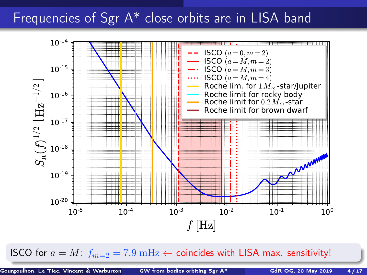# <span id="page-5-0"></span>Frequencies of Sgr A<sup>\*</sup> close orbits are in LISA band



ISCO for  $a = M$  $a = M$ :  $f_{m=2} = 7.9 \text{ mHz} \leftarrow$  $f_{m=2} = 7.9 \text{ mHz} \leftarrow$  $f_{m=2} = 7.9 \text{ mHz} \leftarrow$  coincides wit[h L](#page-4-0)I[SA](#page-6-0) ma[x.](#page-0-0) [sen](#page-26-0)[sit](#page-0-0)[ivi](#page-26-0)[ty!](#page-0-0)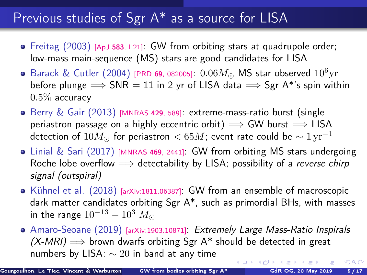# <span id="page-6-0"></span>Previous studies of Sgr A\* as a source for LISA

- Freitag (2003) [ApJ 583[, L21\]](https://doi.org/10.1086/367813): GW from orbiting stars at quadrupole order; low-mass main-sequence (MS) stars are good candidates for LISA
- Barack & Cutler (2004) [PRD 69[, 082005\]](https://doi.org/10.1103/PhysRevD.69.082005):  $0.06M_{\odot}$  MS star observed  $10^6{\rm yr}$ before plunge  $\Rightarrow$  SNR = 11 in 2 yr of LISA data  $\Rightarrow$  Sgr A\*'s spin within  $0.5\%$  accuracy
- $\bullet$  Berry & Gair (2013) [\[MNRAS](https://doi.org/10.1093/mnras/sts360) 429, 589]: extreme-mass-ratio burst (single periastron passage on a highly eccentric orbit)  $\implies$  GW burst  $\implies$  LISA detection of  $10M_{\odot}$  for periastron  $< 65M$ ; event rate could be  $\sim 1 \,\mathrm{yr}^{-1}$
- Linial & Sari (2017) [\[MNRAS](https://doi.org/10.1093/mnras/stx1041) <sup>469</sup>, 2441]: GW from orbiting MS stars undergoing Roche lobe overflow  $\implies$  detectability by LISA; possibility of a reverse chirp signal (outspiral)
- Kühnel et al.  $(2018)$  [\[arXiv:1811.06387\]](https://arxiv.org/abs/1811.06387): GW from an ensemble of macroscopic dark matter candidates orbiting Sgr A\*, such as primordial BHs, with masses in the range  $10^{-13} - 10^3$   $M_{\odot}$
- Amaro-Seoane (2019) [\[arXiv:1903.10871\]](https://arxiv.org/abs/1903.10871): Extremely Large Mass-Ratio Inspirals  $(X-MRI) \Longrightarrow$  brown dwarfs orbiting Sgr A\* should be detected in great numbers by LISA:  $\sim 20$  in band at any time **(ロ) (母)**  $299$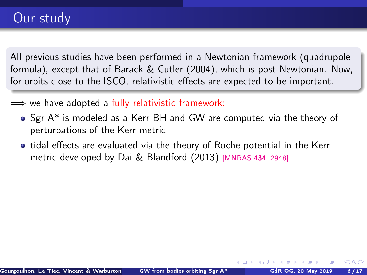All previous studies have been performed in a Newtonian framework (quadrupole formula), except that of Barack & Cutler (2004), which is post-Newtonian. Now, for orbits close to the ISCO, relativistic effects are expected to be important.

- $\implies$  we have adopted a fully relativistic framework:
	- Sgr A\* is modeled as a Kerr BH and GW are computed via the theory of perturbations of the Kerr metric
	- tidal effects are evaluated via the theory of Roche potential in the Kerr metric developed by Dai & Blandford (2013) [\[MNRAS](https://doi.org/10.1093/mnras/stt1209) <sup>434</sup>, 2948]

 $\Omega$ 

**K ロ ト K 何 ト K**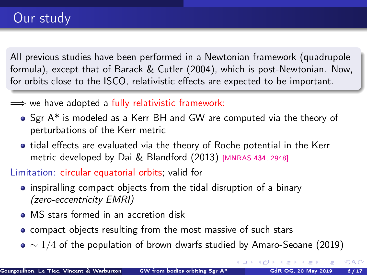All previous studies have been performed in a Newtonian framework (quadrupole formula), except that of Barack & Cutler (2004), which is post-Newtonian. Now, for orbits close to the ISCO, relativistic effects are expected to be important.

- $\implies$  we have adopted a fully relativistic framework:
	- Sgr A\* is modeled as a Kerr BH and GW are computed via the theory of perturbations of the Kerr metric
	- tidal effects are evaluated via the theory of Roche potential in the Kerr metric developed by Dai & Blandford (2013) [\[MNRAS](https://doi.org/10.1093/mnras/stt1209) <sup>434</sup>, 2948]

Limitation: circular equatorial orbits; valid for

- inspiralling compact objects from the tidal disruption of a binary (zero-eccentricity EMRI)
- MS stars formed in an accretion disk
- compact objects resulting from the most massive of such stars
- $\bullet \sim 1/4$  of the population of brown dwarfs studied by Amaro-Seoane (2019)

 $\Omega$ 

**K ロ ▶ K 何 ▶ K 日**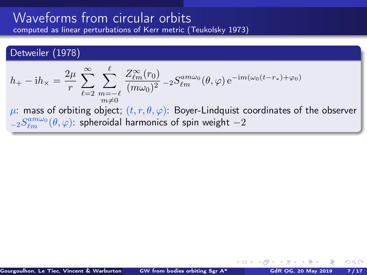#### <span id="page-9-0"></span>Detweiler (1978)

$$
h_+ - \mathrm{i}h_\times = \frac{2\mu}{r} \sum_{\ell=2}^\infty \sum_{\substack{m=-\ell\\m\neq 0}}^\ell \frac{Z_{\ell m}^\infty(r_0)}{(m\omega_0)^2} - 2S_{\ell m}^{am\omega_0}(\theta,\varphi) e^{-\mathrm{i}m(\omega_0(t-r_*)+\varphi_0)}
$$

 $\mu$ : mass of orbiting object;  $(t, r, \theta, \varphi)$ : Boyer-Lindquist coordinates of the observer  ${}_{-2}S_{\ell m}^{am\omega_{0}}(\theta,\varphi)$ : spheroidal harmonics of spin weight  $-2$ 

 $\Omega$ 

 $\leftarrow$   $\leftarrow$   $\leftarrow$   $\leftarrow$   $\leftarrow$   $\leftarrow$   $\leftarrow$   $\leftarrow$   $\leftarrow$   $\leftarrow$   $\leftarrow$   $\leftarrow$   $\leftarrow$   $\leftarrow$   $\leftarrow$   $\leftarrow$   $\leftarrow$   $\leftarrow$   $\leftarrow$   $\leftarrow$   $\leftarrow$   $\leftarrow$   $\leftarrow$   $\leftarrow$   $\leftarrow$   $\leftarrow$   $\leftarrow$   $\leftarrow$   $\leftarrow$   $\leftarrow$   $\leftarrow$   $\leftarrow$   $\leftarrow$   $\leftarrow$   $\leftarrow$   $\leftarrow$   $\leftarrow$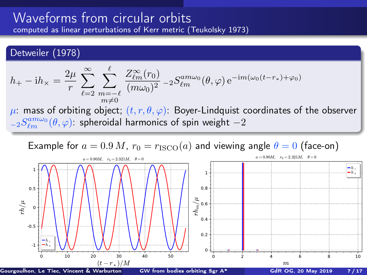#### <span id="page-10-0"></span>Detweiler (1978)

$$
h_+ - \mathrm{i}h_\times = \frac{2\mu}{r} \sum_{\ell=2}^\infty \sum_{\substack{m=-\ell\\m\neq 0}}^\ell \frac{Z_{\ell m}^\infty(r_0)}{(m\omega_0)^2} - 2S_{\ell m}^{am\omega_0}(\theta,\varphi) e^{-\mathrm{i}m(\omega_0(t-r_*)+\varphi_0)}
$$

 $\mu$ : mass of orbiting object;  $(t, r, \theta, \varphi)$ : Boyer-Lindquist coordinates of the observer  ${}_{-2}S_{\ell m}^{am\omega_{0}}(\theta,\varphi)$ : spheroidal harmonics of spin weight  $-2$ 

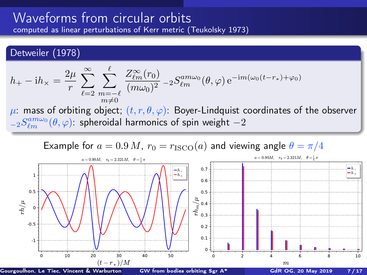#### Detweiler (1978)

$$
h_+ - \mathrm{i}h_\times = \frac{2\mu}{r} \sum_{\ell=2}^\infty \sum_{\substack{m=-\ell\\m\neq 0}}^\ell \frac{Z_{\ell m}^\infty(r_0)}{(m\omega_0)^2} - 2S_{\ell m}^{am\omega_0}(\theta,\varphi) e^{-\mathrm{i}m(\omega_0(t-r_*)+\varphi_0)}
$$

 $\mu$ : mass of orbiting object;  $(t, r, \theta, \varphi)$ : Boyer-Lindquist coordinates of the observer  ${}_{-2}S_{\ell m}^{am\omega_{0}}(\theta,\varphi)$ : spheroidal harmonics of spin weight  $-2$ 

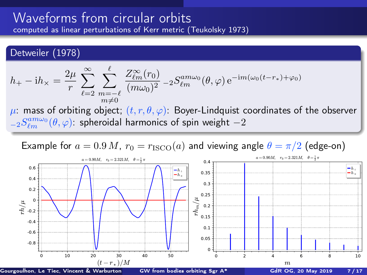#### <span id="page-12-0"></span>Detweiler (1978)

$$
h_+ - \mathrm{i}h_\times = \frac{2\mu}{r} \sum_{\ell=2}^\infty \sum_{\substack{m=-\ell\\m\neq 0}}^\ell \frac{Z_{\ell m}^\infty(r_0)}{(m\omega_0)^2} - 2S_{\ell m}^{am\omega_0}(\theta,\varphi) e^{-\mathrm{i}m(\omega_0(t-r_*)+\varphi_0)}
$$

 $\mu$ : mass of orbiting object;  $(t, r, \theta, \varphi)$ : Boyer-Lindquist coordinates of the observer  ${}_{-2}S_{\ell m}^{am\omega_{0}}(\theta,\varphi)$ : spheroidal harmonics of spin weight  $-2$ 

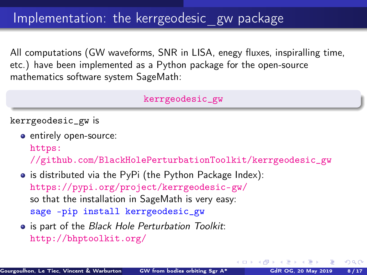<span id="page-13-0"></span>All computations (GW waveforms, SNR in LISA, enegy fluxes, inspiralling time, etc.) have been implemented as a Python package for the open-source mathematics software system SageMath:

#### [kerrgeodesic\\_gw](https://pypi.org/project/kerrgeodesic-gw/)

kerrgeodesic\_gw is

- entirely open-source: [https:](https://github.com/BlackHolePerturbationToolkit/kerrgeodesic_gw) [//github.com/BlackHolePerturbationToolkit/kerrgeodesic\\_gw](https://github.com/BlackHolePerturbationToolkit/kerrgeodesic_gw)
- is distributed via the PyPi (the Python Package Index): <https://pypi.org/project/kerrgeodesic-gw/> so that the installation in SageMath is very easy: sage -pip install kerrgeodesic\_gw
- **•** is part of the Black Hole Perturbation Toolkit: <http://bhptoolkit.org/>

 $\Omega$ 

**K ロ ▶ K 何 ▶ K 手**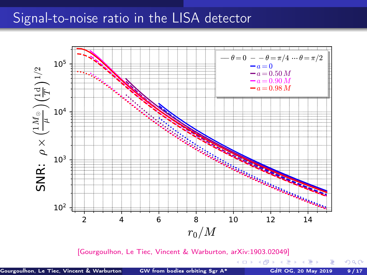## Signal-to-noise ratio in the LISA detector



[\[Gourgoulhon, Le Tiec, Vincent & Warburton, arXiv:1903.02049\]](https://arxiv.org/abs/1903.02049)

**K ロ ⊁ K 個 ≯ K 君 ⊁ K 君 ≯** 

 $299$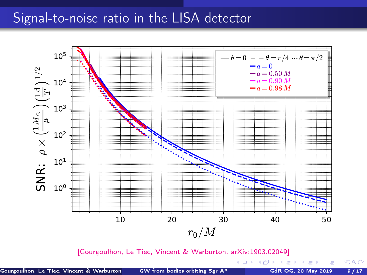### Signal-to-noise ratio in the LISA detector



[\[Gourgoulhon, Le Tiec, Vincent & Warburton, arXiv:1903.02049\]](https://arxiv.org/abs/1903.02049)

 $298$ 

← ロ ▶ → *日* ▶ →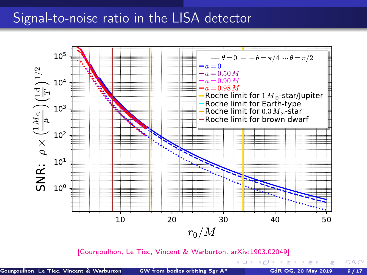### Signal-to-noise ratio in the LISA detector



[\[Gourgoulhon, Le Tiec, Vincent & Warburton, arXiv:1903.02049\]](https://arxiv.org/abs/1903.02049)

 $\Omega$ 

(□ ) ( ) (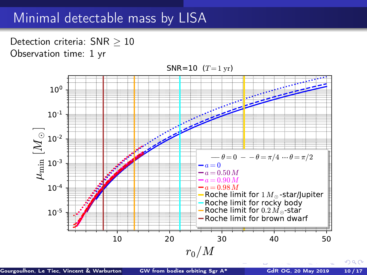## <span id="page-17-0"></span>Minimal detectable mass by LISA

Detection criteria: SNR > 10 Observation time: 1 yr



Gourgoulhon, Le Tiec, Vincent & Warburton ([GW from bodies orbiting Sgr A\\*](#page-0-0) GdR OG, 20 May 2019 10 / 17

 $QQ$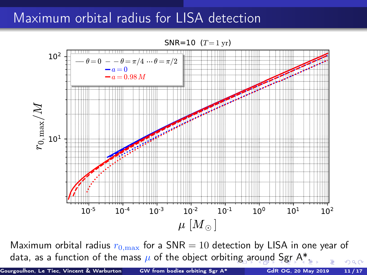## <span id="page-18-0"></span>Maximum orbital radius for LISA detection

SNR=10  $(T=1 \text{ yr})$ 



Maximum orbital radius  $r_{0,\text{max}}$  for a SNR = 10 detection by LISA in one year of data, as a functi[o](#page-17-0)n of the mass  $\mu$  of the object orbiti[ng](#page-17-0) [ar](#page-19-0)o[un](#page-18-0)[d](#page-19-0) [Sg](#page-0-0)[r A](#page-26-0)[\\*.](#page-0-0)  $QQ$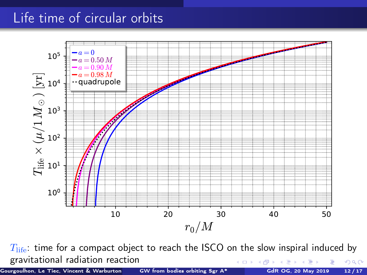# <span id="page-19-0"></span>Life time of circular orbits



 $T_{\text{life}}$ : time for a compact object to reach the ISCO on the slow inspiral induced by gravitational radiation reaction **← ロ ▶ → イ 同 →**  $\Omega$ 

Gourgoulhon, Le Tiec, Vincent & Warburton (SW from bodies orbiting Sgr A\* GdR OG, 20 May 2019 12/17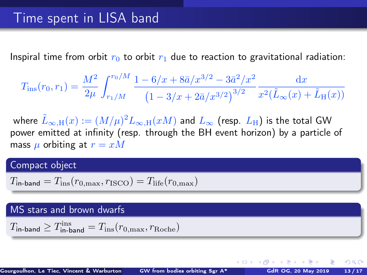Inspiral time from orbit  $r_0$  to orbit  $r_1$  due to reaction to gravitational radiation:

$$
T_{\rm ins}(r_0,r_1) = \frac{M^2}{2\mu} \int_{r_1/M}^{r_0/M} \frac{1 - 6/x + 8\bar{a}/x^{3/2} - 3\bar{a}^2/x^2}{\left(1 - 3/x + 2\bar{a}/x^{3/2}\right)^{3/2}} \frac{\mathrm{d}x}{x^2(\tilde{L}_{\infty}(x) + \tilde{L}_{\rm H}(x))}
$$

where  $\tilde L_{\infty,\mathrm{H}}(x):=(M/\mu)^2 L_{\infty,\mathrm{H}}(xM)$  and  $L_\infty$  (resp.  $L_\mathrm{H}$ ) is the total GW power emitted at infinity (resp. through the BH event horizon) by a particle of mass  $\mu$  orbiting at  $r = xM$ 

#### Compact object

$$
T_{\text{in-band}} = T_{\text{ins}}(r_{0,\text{max}}, r_{\text{ISCO}}) = T_{\text{life}}(r_{0,\text{max}})
$$

#### MS stars and brown dwarfs

$$
T_{\rm in-band} \geq T_{\rm in-band}^{\rm ins} = T_{\rm ins}(r_{\rm 0,max}, r_{\rm Roche})
$$

 $\Omega$ 

**K ロ ▶ K 何 ▶ K 手**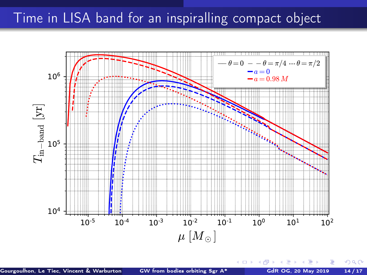## Time in LISA band for an inspiralling compact object



Gourgoulhon, Le Tiec, Vincent & Warburton ([GW from bodies orbiting Sgr A\\*](#page-0-0) GdR OG, 20 May 2019 14/17

**← ロ ▶ → イ 同 →**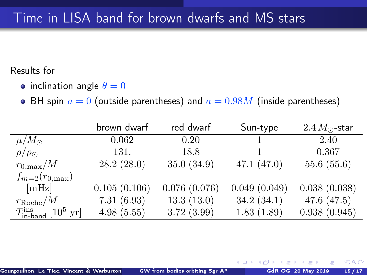# Time in LISA band for brown dwarfs and MS stars

Results for

- inclination angle  $\theta = 0$
- BH spin  $a = 0$  (outside parentheses) and  $a = 0.98M$  (inside parentheses)

|                                                        | brown dwarf  | red dwarf    | Sun-type     | $2.4 M_{\odot}$ -star |
|--------------------------------------------------------|--------------|--------------|--------------|-----------------------|
| $\mu/M_{\odot}$                                        | 0.062        | 0.20         |              | 2.40                  |
| $\rho/\rho_{\odot}$                                    | 131.         | 18.8         |              | 0.367                 |
| $r_{0,\rm max}/M$                                      | 28.2(28.0)   | 35.0(34.9)   | 47.1(47.0)   | 55.6(55.6)            |
| $f_{m=2}(r_{0,\text{max}})$                            |              |              |              |                       |
| [mHz]                                                  | 0.105(0.106) | 0.076(0.076) | 0.049(0.049) | 0.038(0.038)          |
| $r_{\rm Roche}/M$                                      | 7.31(6.93)   | 13.3(13.0)   | 34.2(34.1)   | 47.6(47.5)            |
| $T_{\text{in-band}}^{\text{ins}}$ [10 <sup>5</sup> yr] | 4.98(5.55)   | 3.72(3.99)   | 1.83(1.89)   | 0.938(0.945)          |

 $\Omega$ 

4.000.4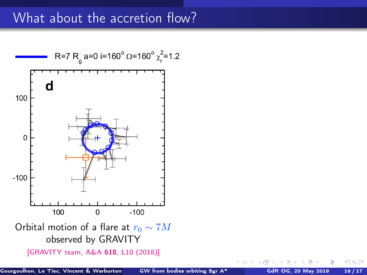## What about the accretion flow?



 $\Omega$ 

4 0 F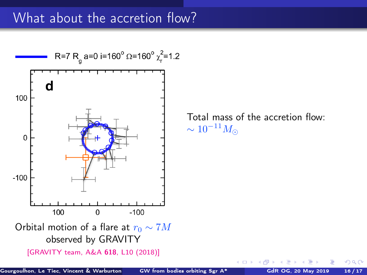## What about the accretion flow?



Gourgoulhon, Le Tiec, Vincent & Warburton ([GW from bodies orbiting Sgr A\\*](#page-0-0) GdR OG, 20 May 2019 16 / 17

 $\Omega$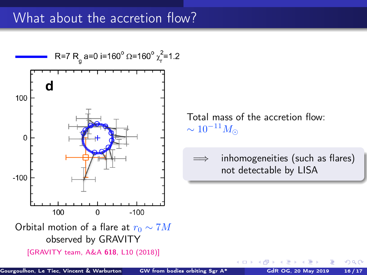## What about the accretion flow?